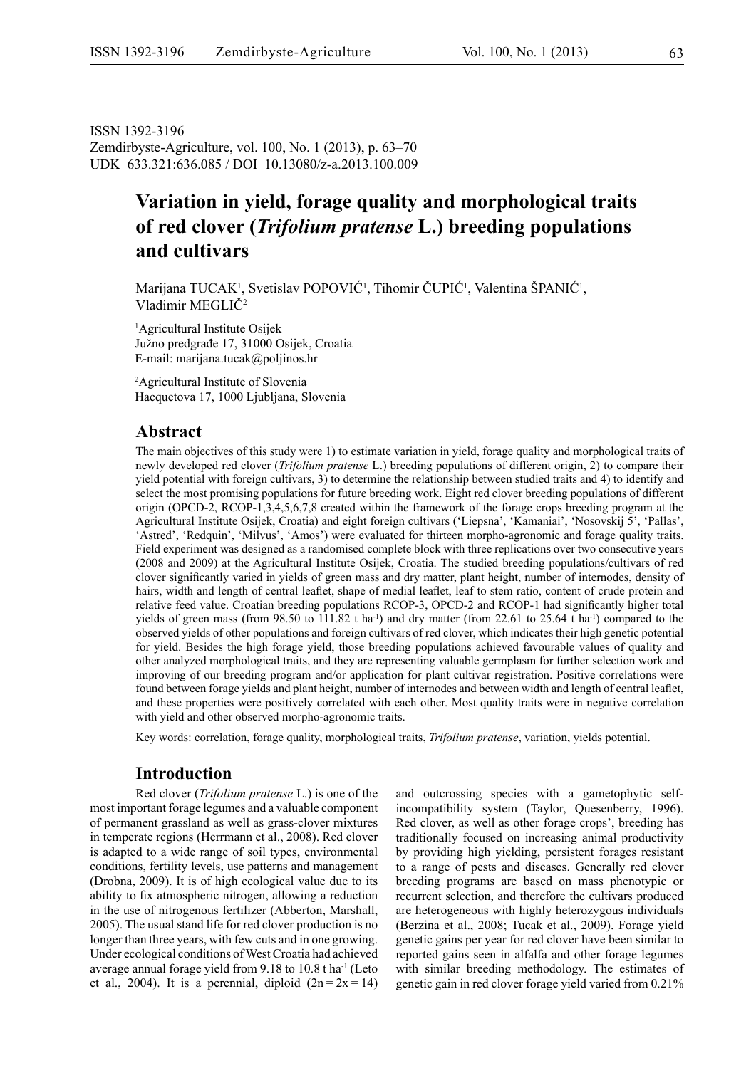ISSN 1392-3196 Zemdirbyste-Agriculture, vol. 100, No. 1 (2013), p. 63–70 UDK 633.321:636.085 / DOI 10.13080/z-a.2013.100.009

# **Variation in yield, forage quality and morphological traits of red clover (***Trifolium pratense* **L.) breeding populations and cultivars**

Marijana TUCAK<sup>1</sup>, Svetislav POPOVIĆ<sup>1</sup>, Tihomir ČUPIĆ<sup>1</sup>, Valentina ŠPANIĆ<sup>1</sup>, Vladimir MEGLIČ<sup>2</sup>

1 Agricultural Institute Osijek Južno predgrađe 17, 31000 Osijek, Croatia E-mail: marijana.tucak@poljinos.hr

2 Agricultural Institute of Slovenia Hacquetova 17, 1000 Ljubljana, Slovenia

### **Abstract**

The main objectives of this study were 1) to estimate variation in yield, forage quality and morphological traits of newly developed red clover (*Trifolium pratense* L.) breeding populations of different origin, 2) to compare their yield potential with foreign cultivars, 3) to determine the relationship between studied traits and 4) to identify and select the most promising populations for future breeding work. Eight red clover breeding populations of different origin (OPCD-2, RCOP-1,3,4,5,6,7,8 created within the framework of the forage crops breeding program at the Agricultural Institute Osijek, Croatia) and eight foreign cultivars ('Liepsna', 'Kamaniai', 'Nosovskij 5', 'Pallas', 'Astred', 'Redquin', 'Milvus', 'Amos') were evaluated for thirteen morpho-agronomic and forage quality traits. Field experiment was designed as a randomised complete block with three replications over two consecutive years (2008 and 2009) at the Agricultural Institute Osijek, Croatia. The studied breeding populations/cultivars of red clover significantly varied in yields of green mass and dry matter, plant height, number of internodes, density of hairs, width and length of central leaflet, shape of medial leaflet, leaf to stem ratio, content of crude protein and relative feed value. Croatian breeding populations RCOP-3, OPCD-2 and RCOP-1 had significantly higher total yields of green mass (from 98.50 to 111.82 t ha<sup>-1</sup>) and dry matter (from 22.61 to 25.64 t ha<sup>-1</sup>) compared to the observed yields of other populations and foreign cultivars of red clover, which indicates their high genetic potential for yield. Besides the high forage yield, those breeding populations achieved favourable values of quality and other analyzed morphological traits, and they are representing valuable germplasm for further selection work and improving of our breeding program and/or application for plant cultivar registration. Positive correlations were found between forage yields and plant height, number of internodes and between width and length of central leaflet, and these properties were positively correlated with each other. Most quality traits were in negative correlation with yield and other observed morpho-agronomic traits.

Key words: correlation, forage quality, morphological traits, *Trifolium pratense*, variation, yields potential.

# **Introduction**

Red clover (*Trifolium pratense* L.) is one of the most important forage legumes and a valuable component of permanent grassland as well as grass-clover mixtures in temperate regions (Herrmann et al., 2008). Red clover is adapted to a wide range of soil types, environmental conditions, fertility levels, use patterns and management (Drobna, 2009). It is of high ecological value due to its ability to fix atmospheric nitrogen, allowing a reduction in the use of nitrogenous fertilizer (Abberton, Marshall, 2005). The usual stand life for red clover production is no longer than three years, with few cuts and in one growing. Under ecological conditions of West Croatia had achieved average annual forage yield from 9.18 to 10.8 t ha<sup>-1</sup> (Leto et al., 2004). It is a perennial, diploid  $(2n = 2x = 14)$ 

and outcrossing species with a gametophytic selfincompatibility system (Taylor, Quesenberry, 1996). Red clover, as well as other forage crops', breeding has traditionally focused on increasing animal productivity by providing high yielding, persistent forages resistant to a range of pests and diseases. Generally red clover breeding programs are based on mass phenotypic or recurrent selection, and therefore the cultivars produced are heterogeneous with highly heterozygous individuals (Berzina et al., 2008; Tucak et al., 2009). Forage yield genetic gains per year for red clover have been similar to reported gains seen in alfalfa and other forage legumes with similar breeding methodology. The estimates of genetic gain in red clover forage yield varied from 0.21%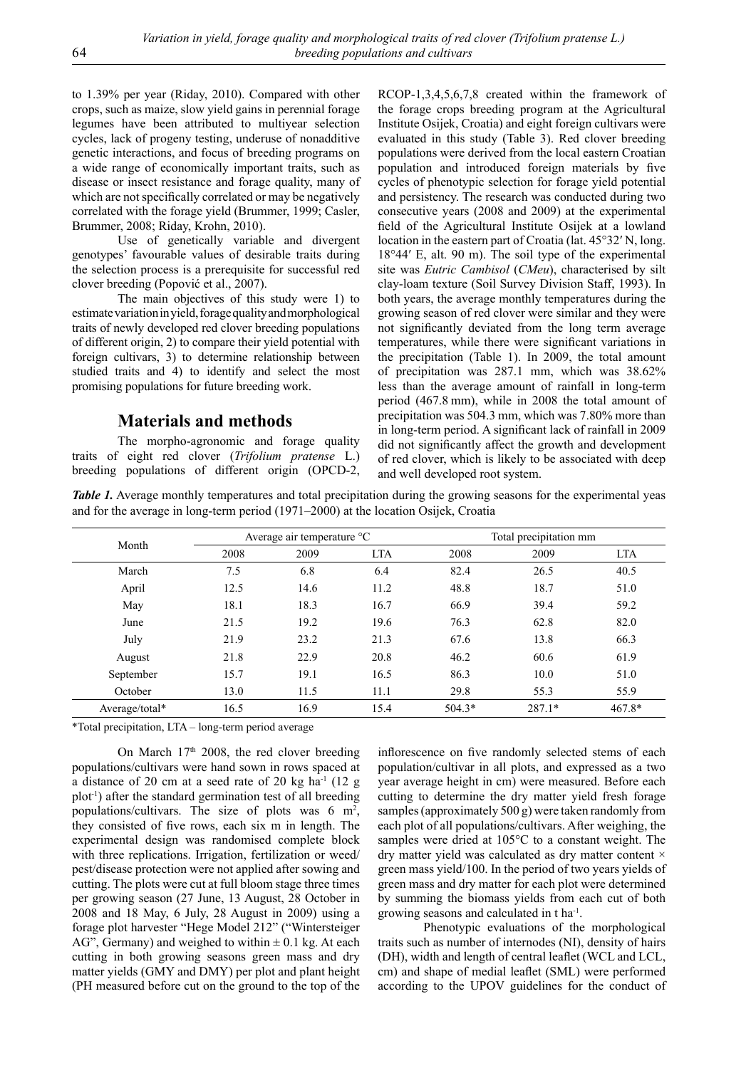to 1.39% per year (Riday, 2010). Compared with other crops, such as maize, slow yield gains in perennial forage legumes have been attributed to multiyear selection cycles, lack of progeny testing, underuse of nonadditive genetic interactions, and focus of breeding programs on a wide range of economically important traits, such as disease or insect resistance and forage quality, many of which are not specifically correlated or may be negatively correlated with the forage yield (Brummer, 1999; Casler, Brummer, 2008; Riday, Krohn, 2010).

Use of genetically variable and divergent genotypes' favourable values of desirable traits during the selection process is a prerequisite for successful red clover breeding (Popović et al., 2007).

The main objectives of this study were 1) to estimate variation in yield, forage quality and morphological traits of newly developed red clover breeding populations of different origin, 2) to compare their yield potential with foreign cultivars, 3) to determine relationship between studied traits and 4) to identify and select the most promising populations for future breeding work.

### **Materials and methods**

The morpho-agronomic and forage quality traits of eight red clover (*Trifolium pratense* L.) breeding populations of different origin (OPCD-2, RCOP-1,3,4,5,6,7,8 created within the framework of the forage crops breeding program at the Agricultural Institute Osijek, Croatia) and eight foreign cultivars were evaluated in this study (Table 3). Red clover breeding populations were derived from the local eastern Croatian population and introduced foreign materials by five cycles of phenotypic selection for forage yield potential and persistency. The research was conducted during two consecutive years (2008 and 2009) at the experimental field of the Agricultural Institute Osijek at a lowland location in the eastern part of Croatia (lat. 45°32′ N, long. 18°44′ E, alt. 90 m). The soil type of the experimental site was *Eutric Cambisol* (*CMeu*), characterised by silt clay-loam texture (Soil Survey Division Staff, 1993). In both years, the average monthly temperatures during the growing season of red clover were similar and they were not significantly deviated from the long term average temperatures, while there were significant variations in the precipitation (Table 1). In 2009, the total amount of precipitation was 287.1 mm, which was 38.62% less than the average amount of rainfall in long-term period (467.8 mm), while in 2008 the total amount of precipitation was 504.3 mm, which was 7.80% more than in long-term period. A significant lack of rainfall in 2009 did not significantly affect the growth and development of red clover, which is likely to be associated with deep and well developed root system.

*Table 1.* Average monthly temperatures and total precipitation during the growing seasons for the experimental yeas and for the average in long-term period (1971–2000) at the location Osijek, Croatia

|                |      | Average air temperature °C |            |          | Total precipitation mm |            |  |  |
|----------------|------|----------------------------|------------|----------|------------------------|------------|--|--|
| Month          | 2008 | 2009                       | <b>LTA</b> | 2008     | 2009                   | <b>LTA</b> |  |  |
| March          | 7.5  | 6.8                        | 6.4        | 82.4     | 26.5                   | 40.5       |  |  |
| April          | 12.5 | 14.6                       | 11.2       | 48.8     | 18.7                   | 51.0       |  |  |
| May            | 18.1 | 18.3                       | 16.7       | 66.9     | 39.4                   | 59.2       |  |  |
| June           | 21.5 | 19.2                       | 19.6       | 76.3     | 62.8                   | 82.0       |  |  |
| July           | 21.9 | 23.2                       | 21.3       | 67.6     | 13.8                   | 66.3       |  |  |
| August         | 21.8 | 22.9                       | 20.8       | 46.2     | 60.6                   | 61.9       |  |  |
| September      | 15.7 | 19.1                       | 16.5       | 86.3     | 10.0                   | 51.0       |  |  |
| October        | 13.0 | 11.5                       | 11.1       | 29.8     | 55.3                   | 55.9       |  |  |
| Average/total* | 16.5 | 16.9                       | 15.4       | $504.3*$ | $287.1*$               | $467.8*$   |  |  |

\*Total precipitation, LTA – long-term period average

On March 17<sup>th</sup> 2008, the red clover breeding populations/cultivars were hand sown in rows spaced at a distance of 20 cm at a seed rate of 20 kg ha $^{-1}$  (12 g plot-1) after the standard germination test of all breeding populations/cultivars. The size of plots was  $6 \text{ m}^2$ , they consisted of five rows, each six m in length. The experimental design was randomised complete block with three replications. Irrigation, fertilization or weed/ pest/disease protection were not applied after sowing and cutting. The plots were cut at full bloom stage three times per growing season (27 June, 13 August, 28 October in 2008 and 18 May, 6 July, 28 August in 2009) using a forage plot harvester "Hege Model 212" ("Wintersteiger AG", Germany) and weighed to within  $\pm$  0.1 kg. At each cutting in both growing seasons green mass and dry matter yields (GMY and DMY) per plot and plant height (PH measured before cut on the ground to the top of the

inflorescence on five randomly selected stems of each population/cultivar in all plots, and expressed as a two year average height in cm) were measured. Before each cutting to determine the dry matter yield fresh forage samples (approximately 500 g) were taken randomly from each plot of all populations/cultivars. After weighing, the samples were dried at 105°C to a constant weight. The dry matter yield was calculated as dry matter content  $\times$ green mass yield/100. In the period of two years yields of green mass and dry matter for each plot were determined by summing the biomass yields from each cut of both growing seasons and calculated in t ha-1.

Phenotypic evaluations of the morphological traits such as number of internodes (NI), density of hairs (DH), width and length of central leaflet (WCL and LCL, cm) and shape of medial leaflet (SML) were performed according to the UPOV guidelines for the conduct of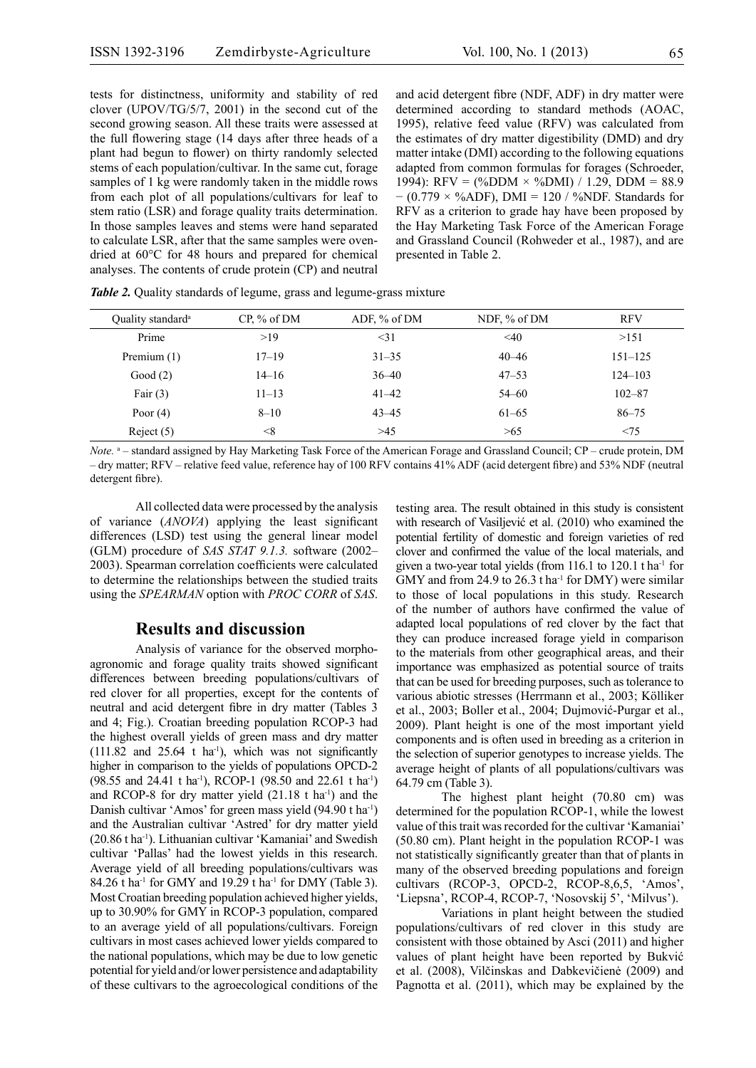tests for distinctness, uniformity and stability of red clover (UPOV/TG/5/7, 2001) in the second cut of the second growing season. All these traits were assessed at the full flowering stage (14 days after three heads of a plant had begun to flower) on thirty randomly selected stems of each population/cultivar. In the same cut, forage samples of 1 kg were randomly taken in the middle rows from each plot of all populations/cultivars for leaf to stem ratio (LSR) and forage quality traits determination. In those samples leaves and stems were hand separated to calculate LSR, after that the same samples were ovendried at 60°C for 48 hours and prepared for chemical analyses. The contents of crude protein (CP) and neutral

and acid detergent fibre (NDF, ADF) in dry matter were determined according to standard methods (AOAC, 1995), relative feed value (RFV) was calculated from the estimates of dry matter digestibility (DMD) and dry matter intake (DMI) according to the following equations adapted from common formulas for forages (Schroeder, 1994): RFV = (%DDM  $\times$  %DMI) / 1.29, DDM = 88.9  $-(0.779 \times \%ADF)$ , DMI = 120 / %NDF. Standards for RFV as a criterion to grade hay have been proposed by the Hay Marketing Task Force of the American Forage and Grassland Council (Rohweder et al., 1987), and are presented in Table 2.

| Quality standard <sup>a</sup> | $CP.$ % of DM | ADF, % of DM | NDF, % of DM | <b>RFV</b>  |
|-------------------------------|---------------|--------------|--------------|-------------|
| Prime                         | >19           | $<$ 31       | $\leq 40$    | >151        |
| Premium $(1)$                 | $17 - 19$     | $31 - 35$    | $40 - 46$    | $151 - 125$ |
| Good $(2)$                    | $14 - 16$     | $36 - 40$    | $47 - 53$    | $124 - 103$ |
| Fair $(3)$                    | $11 - 13$     | $41 - 42$    | $54 - 60$    | $102 - 87$  |
| Poor $(4)$                    | $8 - 10$      | $43 - 45$    | $61 - 65$    | $86 - 75$   |
| Reject $(5)$                  | $<\!\!8$      | >45          | >65          | < 75        |

*Table 2.* Quality standards of legume, grass and legume-grass mixture

Note. <sup>a</sup> – standard assigned by Hay Marketing Task Force of the American Forage and Grassland Council; CP – crude protein, DM – dry matter; RFV – relative feed value, reference hay of 100 RFV contains 41% ADF (acid detergent fibre) and 53% NDF (neutral detergent fibre).

All collected data were processed by the analysis of variance (*ANOVA*) applying the least significant differences (LSD) test using the general linear model (GLM) procedure of *SAS STAT 9.1.3.* software (2002– 2003). Spearman correlation coefficients were calculated to determine the relationships between the studied traits using the *SPEARMAN* option with *PROC CORR* of *SAS*.

#### **Results and discussion**

Analysis of variance for the observed morphoagronomic and forage quality traits showed significant differences between breeding populations/cultivars of red clover for all properties, except for the contents of neutral and acid detergent fibre in dry matter (Tables 3 and 4; Fig.). Croatian breeding population RCOP-3 had the highest overall yields of green mass and dry matter  $(111.82 \text{ and } 25.64 \text{ t} \text{ ha}^{-1})$ , which was not significantly higher in comparison to the yields of populations OPCD-2 (98.55 and 24.41 t ha<sup>-1</sup>), RCOP-1 (98.50 and 22.61 t ha<sup>-1</sup>) and RCOP-8 for dry matter yield  $(21.18 \text{ t} \text{ ha}^{-1})$  and the Danish cultivar 'Amos' for green mass yield (94.90 t ha<sup>-1</sup>) and the Australian cultivar 'Astred' for dry matter yield (20.86 t ha-1). Lithuanian cultivar 'Kamaniai' and Swedish cultivar 'Pallas' had the lowest yields in this research. Average yield of all breeding populations/cultivars was 84.26 t ha<sup>-1</sup> for GMY and 19.29 t ha<sup>-1</sup> for DMY (Table 3). Most Croatian breeding population achieved higher yields, up to 30.90% for GMY in RCOP-3 population, compared to an average yield of all populations/cultivars. Foreign cultivars in most cases achieved lower yields compared to the national populations, which may be due to low genetic potential for yield and/or lower persistence and adaptability of these cultivars to the agroecological conditions of the

testing area. The result obtained in this study is consistent with research of Vasiljević et al. (2010) who examined the potential fertility of domestic and foreign varieties of red clover and confirmed the value of the local materials, and given a two-year total yields (from  $116.1$  to  $120.1$  t ha<sup>-1</sup> for GMY and from 24.9 to 26.3 t ha<sup>-1</sup> for DMY) were similar to those of local populations in this study. Research of the number of authors have confirmed the value of adapted local populations of red clover by the fact that they can produce increased forage yield in comparison to the materials from other geographical areas, and their importance was emphasized as potential source of traits that can be used for breeding purposes, such as tolerance to various abiotic stresses (Herrmann et al., 2003; Kölliker et al., 2003; Boller et al., 2004; Dujmović-Purgar et al., 2009). Plant height is one of the most important yield components and is often used in breeding as a criterion in the selection of superior genotypes to increase yields. The average height of plants of all populations/cultivars was 64.79 cm (Table 3).

The highest plant height (70.80 cm) was determined for the population RCOP-1, while the lowest value of this trait was recorded for the cultivar 'Kamaniai' (50.80 cm). Plant height in the population RCOP-1 was not statistically significantly greater than that of plants in many of the observed breeding populations and foreign cultivars (RCOP-3, OPCD-2, RCOP-8,6,5, 'Amos', 'Liepsna', RCOP-4, RCOP-7, 'Nosovskij 5', 'Milvus').

Variations in plant height between the studied populations/cultivars of red clover in this study are consistent with those obtained by Asci (2011) and higher values of plant height have been reported by Bukvić et al. (2008), Vilčinskas and Dabkevičienė (2009) and Pagnotta et al. (2011), which may be explained by the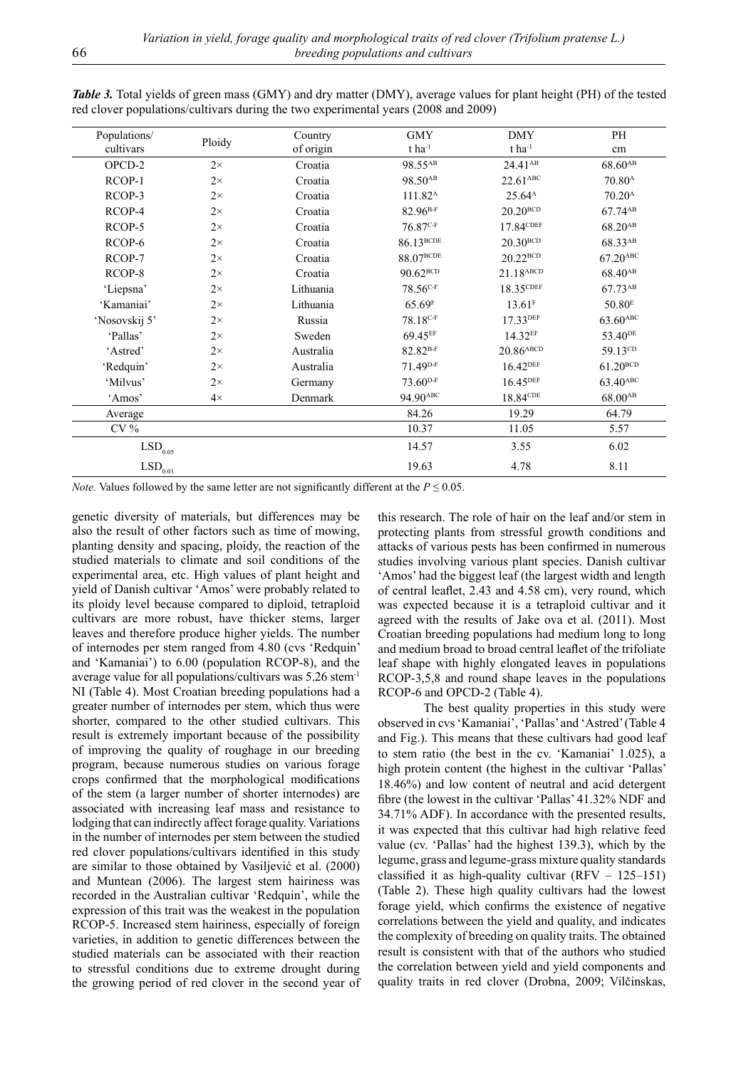| Populations/          | Ploidy    | Country   | <b>GMY</b>             | <b>DMY</b>              | PH                     |
|-----------------------|-----------|-----------|------------------------|-------------------------|------------------------|
| cultivars             | of origin |           | $t$ ha <sup>-1</sup>   | $t$ ha <sup>-1</sup>    | cm                     |
| OPCD-2                | $2\times$ | Croatia   | 98.55AB                | 24.41 <sup>AB</sup>     | 68.60 <sup>AB</sup>    |
| RCOP-1                | $2\times$ | Croatia   | 98.50 <sup>AB</sup>    | $22.61$ <sup>ABC</sup>  | 70.80 <sup>A</sup>     |
| RCOP-3                | $2\times$ | Croatia   | 111.82 <sup>A</sup>    | 25.64 <sup>A</sup>      | 70.20 <sup>A</sup>     |
| RCOP-4                | $2\times$ | Croatia   | $82.96^{B-F}$          | $20.20^{BCD}$           | 67.74 <sup>AB</sup>    |
| RCOP-5                | $2\times$ | Croatia   | $76.87^{\text{C-F}}$   | 17.84CDEF               | 68.20 <sup>AB</sup>    |
| RCOP-6                | $2\times$ | Croatia   | 86.13BCDE              | $20.30^{BCD}$           | 68.33AB                |
| RCOP-7                | $2\times$ | Croatia   | 88.07 <sup>BCDE</sup>  | $20.22^{BCD}$           | $67.20$ <sup>ABC</sup> |
| RCOP-8                | $2\times$ | Croatia   | $90.62$ <sub>BCD</sub> | 21.18ABCD               | 68.40 <sup>AB</sup>    |
| 'Liepsna'             | $2\times$ | Lithuania | $78.56c$ -F            | 18.35 CDEF              | 67.73AB                |
| 'Kamaniai'            | $2\times$ | Lithuania | 65.69F                 | $13.61$ <sup>F</sup>    | 50.80 <sup>E</sup>     |
| 'Nosovskij 5'         | $2\times$ | Russia    | 78.18 <sup>C-F</sup>   | 17.33DEF                | 63.60ABC               |
| 'Pallas'              | $2\times$ | Sweden    | 69.45EF                | 14.32 <sup>EF</sup>     | 53.40 <sup>DE</sup>    |
| 'Astred'              | $2\times$ | Australia | 82.82 <sup>B-F</sup>   | $20.86$ <sup>ABCD</sup> | 59.13CD                |
| 'Redquin'             | $2\times$ | Australia | 71.49 <sup>D-F</sup>   | $16.42$ DEF             | $61.20^{BCD}$          |
| 'Milvus'              | $2\times$ | Germany   | $73.60^{D-F}$          | 16.45 <sup>DEF</sup>    | 63.40ABC               |
| 'Amos'                | $4\times$ | Denmark   | 94.90ABC               | 18.84 <sup>CDE</sup>    | $68.00^{AB}$           |
| Average               |           |           | 84.26                  | 19.29                   | 64.79                  |
| $CV\%$                |           |           | 10.37                  | 11.05                   | 5.57                   |
| $\mathrm{LSD}_{0.05}$ |           |           | 14.57                  | 3.55                    | 6.02                   |
| $\mathrm{LSD}_{0.01}$ |           |           | 19.63                  | 4.78                    | 8.11                   |

*Table 3*. Total yields of green mass (GMY) and dry matter (DMY), average values for plant height (PH) of the tested red clover populations/cultivars during the two experimental years (2008 and 2009)

*Note.* Values followed by the same letter are not significantly different at the  $P \le 0.05$ .

genetic diversity of materials, but differences may be also the result of other factors such as time of mowing, planting density and spacing, ploidy, the reaction of the studied materials to climate and soil conditions of the experimental area, etc. High values of plant height and yield of Danish cultivar 'Amos' were probably related to its ploidy level because compared to diploid, tetraploid cultivars are more robust, have thicker stems, larger leaves and therefore produce higher yields. The number of internodes per stem ranged from 4.80 (cvs 'Redquin' and 'Kamaniai') to 6.00 (population RCOP-8), and the average value for all populations/cultivars was 5.26 stem-1 NI (Table 4). Most Croatian breeding populations had a greater number of internodes per stem, which thus were shorter, compared to the other studied cultivars. This result is extremely important because of the possibility of improving the quality of roughage in our breeding program, because numerous studies on various forage crops confirmed that the morphological modifications of the stem (a larger number of shorter internodes) are associated with increasing leaf mass and resistance to lodging that can indirectly affect forage quality. Variations in the number of internodes per stem between the studied red clover populations/cultivars identified in this study are similar to those obtained by Vasiljević et al. (2000) and Muntean (2006). The largest stem hairiness was recorded in the Australian cultivar 'Redquin', while the expression of this trait was the weakest in the population RCOP-5. Increased stem hairiness, especially of foreign varieties, in addition to genetic differences between the studied materials can be associated with their reaction to stressful conditions due to extreme drought during the growing period of red clover in the second year of this research. The role of hair on the leaf and/or stem in protecting plants from stressful growth conditions and attacks of various pests has been confirmed in numerous studies involving various plant species. Danish cultivar 'Amos' had the biggest leaf (the largest width and length of central leaflet, 2.43 and 4.58 cm), very round, which was expected because it is a tetraploid cultivar and it agreed with the results of Jake ova et al. (2011). Most Croatian breeding populations had medium long to long and medium broad to broad central leaflet of the trifoliate leaf shape with highly elongated leaves in populations RCOP-3,5,8 and round shape leaves in the populations RCOP-6 and OPCD-2 (Table 4).

The best quality properties in this study were observed in cvs 'Kamaniai', 'Pallas' and 'Astred' (Table 4 and Fig.). This means that these cultivars had good leaf to stem ratio (the best in the cv. 'Kamaniai' 1.025), a high protein content (the highest in the cultivar 'Pallas' 18.46%) and low content of neutral and acid detergent fibre (the lowest in the cultivar 'Pallas' 41.32% NDF and 34.71% ADF). In accordance with the presented results, it was expected that this cultivar had high relative feed value (cv. 'Pallas' had the highest 139.3), which by the legume, grass and legume-grass mixture quality standards classified it as high-quality cultivar  $(RFV - 125-151)$ (Table 2). These high quality cultivars had the lowest forage yield, which confirms the existence of negative correlations between the yield and quality, and indicates the complexity of breeding on quality traits. The obtained result is consistent with that of the authors who studied the correlation between yield and yield components and quality traits in red clover (Drobna, 2009; Vilčinskas,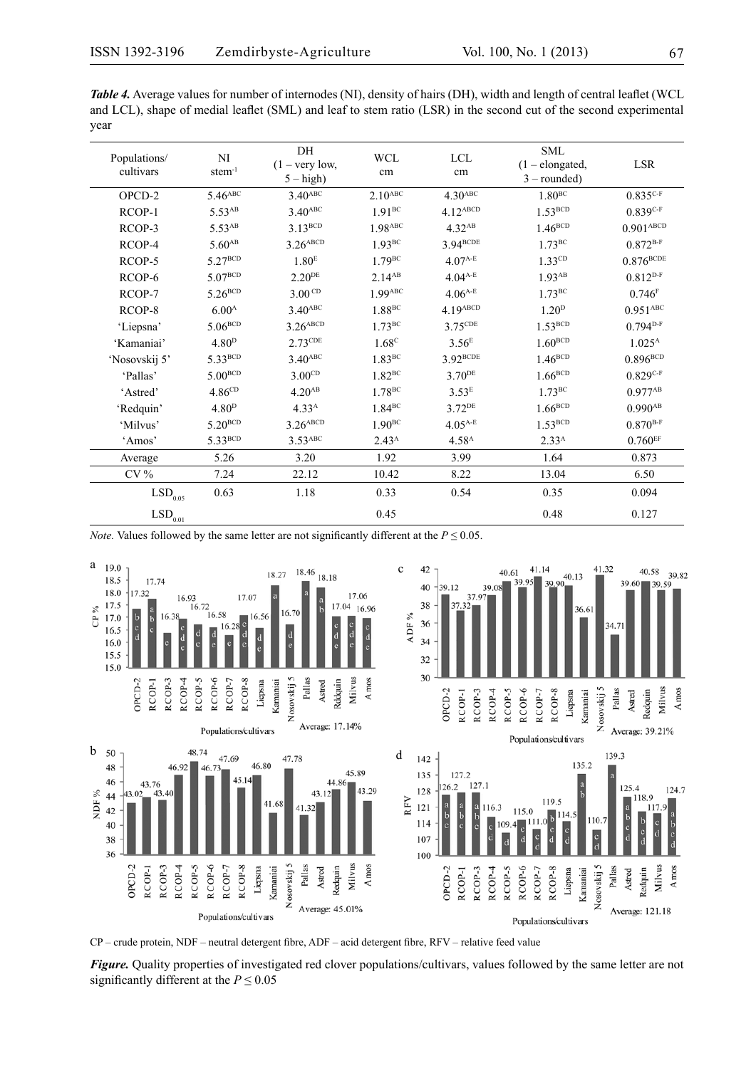| <b>Table 4.</b> Average values for number of internodes (NI), density of hairs (DH), width and length of central leaflet (WCL |
|-------------------------------------------------------------------------------------------------------------------------------|
| and LCL), shape of medial leaflet (SML) and leaf to stem ratio (LSR) in the second cut of the second experimental             |
| year                                                                                                                          |

| Populations/<br>cultivars | NI<br>$stem^{-1}$   | DH<br>$(1 - \text{very low},$<br>$5 - high$ | <b>WCL</b><br>cm      | <b>LCL</b><br>cm      | <b>SML</b><br>$(1 - elongated,$<br>$3$ – rounded) | <b>LSR</b>              |
|---------------------------|---------------------|---------------------------------------------|-----------------------|-----------------------|---------------------------------------------------|-------------------------|
| $OPCD-2$                  | 5.46 <sup>ABC</sup> | 3.40 <sub>ABC</sub>                         | $2.10$ <sup>ABC</sup> | $4.30$ <sup>ABC</sup> | $1.80^{BC}$                                       | $0.835C-F$              |
| RCOP-1                    | 5.53 <sup>AB</sup>  | $3.40$ <sup>ABC</sup>                       | $1.91^{BC}$           | 4.12ABCD              | $1.53^{BCD}$                                      | $0.839C-F$              |
| RCOP-3                    | 5.53 <sup>AB</sup>  | $3.13^{BCD}$                                | 1.98ABC               | 4.32 <sup>AB</sup>    | $1.46^{BCD}$                                      | $0.901$ <sup>ABCD</sup> |
| RCOP-4                    | 5.60 <sub>AB</sub>  | $3.26$ <sup>ABCD</sup>                      | 1.93BC                | 3.94BCDE              | 1.73BC                                            | $0.872^{B-F}$           |
| RCOP-5                    | $5.27^{BCD}$        | 1.80 <sup>E</sup>                           | $1.79^{\text{BC}}$    | $4.07^{A-E}$          | 1.33CD                                            | $0.876^{\text{BCDE}}$   |
| RCOP-6                    | $5.07^{BCD}$        | $2.20^{DE}$                                 | 2.14AB                | $4.04^{A-E}$          | $1.93$ <sup>AB</sup>                              | $0.812^{D-F}$           |
| RCOP-7                    | $5.26^{BCD}$        | 3.00 <sup>CD</sup>                          | $1.99$ <sup>ABC</sup> | $4.06^{A-E}$          | $1.73^{\rm BC}$                                   | 0.746F                  |
| RCOP-8                    | 6.00 <sup>A</sup>   | $3.40$ <sup>ABC</sup>                       | 1.88 <sup>BC</sup>    | 4.19ABCD              | 1.20 <sup>D</sup>                                 | $0.951$ ABC             |
| 'Liepsna'                 | $5.06^{BCD}$        | $3.26$ <sup>ABCD</sup>                      | $1.73^{BC}$           | 3.75CDE               | $1.53^{BCD}$                                      | $0.794D-F$              |
| 'Kamaniai'                | 4.80 <sup>D</sup>   | $2.73$ CDE                                  | 1.68 <sup>c</sup>     | 3.56 <sup>E</sup>     | $1.60^{BCD}$                                      | $1.025^{\text{A}}$      |
| 'Nosovskij 5'             | 5.33BCD             | $3.40$ <sup>ABC</sup>                       | 1.83 <sup>BC</sup>    | 3.92BCDE              | $1.46^{BCD}$                                      | $0.896B{\text{BCD}}$    |
| 'Pallas'                  | 5.00 <sup>BCD</sup> | 3.00 <sup>CD</sup>                          | $1.82$ <sup>BC</sup>  | $3.70^{DE}$           | $1.66^{BCD}$                                      | $0.829C-F$              |
| 'Astred'                  | 4.86 <sup>CD</sup>  | 4.20 <sup>AB</sup>                          | 1.78 <sup>BC</sup>    | 3.53 <sup>E</sup>     | $1.73^{BC}$                                       | $0.977^{AB}$            |
| 'Redquin'                 | 4.80 <sup>D</sup>   | 4.33 <sup>A</sup>                           | $1.84$ <sup>BC</sup>  | $3.72$ <sup>DE</sup>  | $1.66^{BCD}$                                      | $0.990^{AB}$            |
| 'Milvus'                  | $5.20^{BCD}$        | $3.26$ <sup>ABCD</sup>                      | $1.90^{BC}$           | $4.05^{A-E}$          | $1.53^{BCD}$                                      | $0.870^{B-F}$           |
| 'Amos'                    | 5.33BCD             | 3.53ABC                                     | 2.43 <sup>A</sup>     | 4.58 <sup>A</sup>     | 2.33 <sup>A</sup>                                 | $0.760$ <sub>EF</sub>   |
| Average                   | 5.26                | 3.20                                        | 1.92                  | 3.99                  | 1.64                                              | 0.873                   |
| $CV\%$                    | 7.24                | 22.12                                       | 10.42                 | 8.22                  | 13.04                                             | 6.50                    |
| $\mathrm{LSD}_{0.05}$     | 0.63                | 1.18                                        | 0.33                  | 0.54                  | 0.35                                              | 0.094                   |
| $\mathrm{LSD}_{0.01}$     |                     |                                             | 0.45                  |                       | 0.48                                              | 0.127                   |

*Note.* Values followed by the same letter are not significantly different at the  $P \le 0.05$ .



CP – crude protein, NDF – neutral detergent fibre, ADF – acid detergent fibre, RFV – relative feed value

*Figure.* Quality properties of investigated red clover populations/cultivars, values followed by the same letter are not significantly different at the  $P \le 0.05$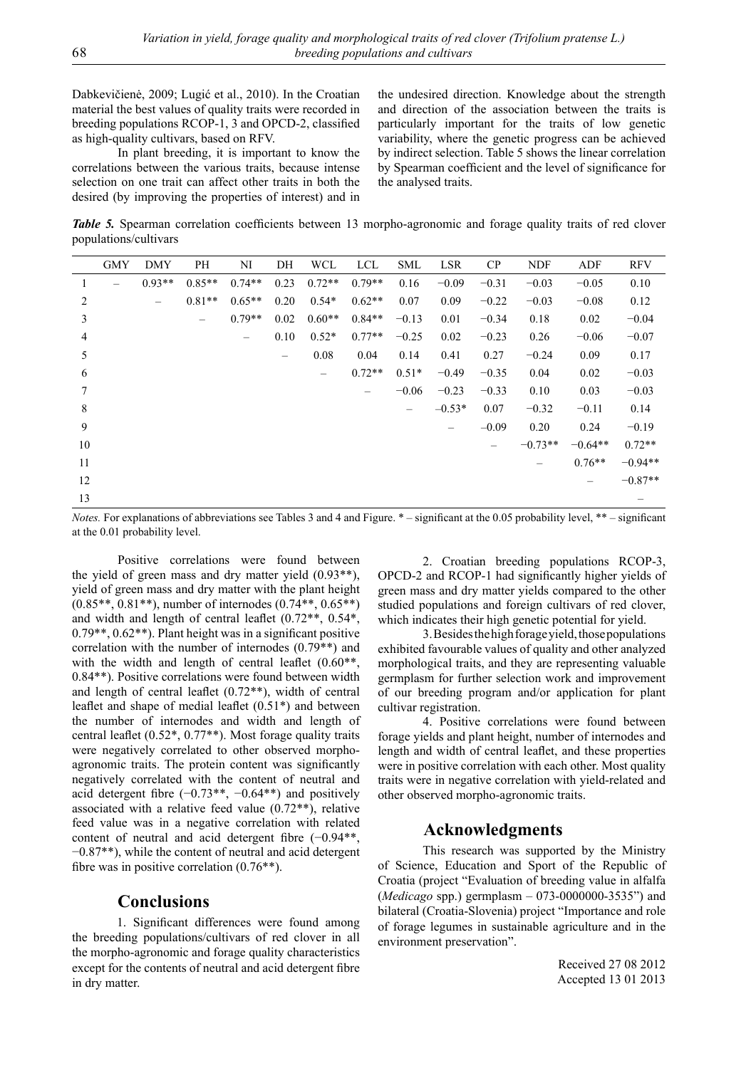Dabkevičienė, 2009; Lugić et al., 2010). In the Croatian material the best values of quality traits were recorded in breeding populations RCOP-1, 3 and OPCD-2, classified as high-quality cultivars, based on RFV.

In plant breeding, it is important to know the correlations between the various traits, because intense selection on one trait can affect other traits in both the desired (by improving the properties of interest) and in

the undesired direction. Knowledge about the strength and direction of the association between the traits is particularly important for the traits of low genetic variability, where the genetic progress can be achieved by indirect selection. Table 5 shows the linear correlation by Spearman coefficient and the level of significance for the analysed traits.

*Table 5.* Spearman correlation coefficients between 13 morpho-agronomic and forage quality traits of red clover populations/cultivars

|                | <b>GMY</b>        | <b>DMY</b>               | PH                       | NI                | DH                       | <b>WCL</b>               | LCL                      | <b>SML</b>               | <b>LSR</b>        | CP                       | <b>NDF</b> | ADF               | <b>RFV</b> |
|----------------|-------------------|--------------------------|--------------------------|-------------------|--------------------------|--------------------------|--------------------------|--------------------------|-------------------|--------------------------|------------|-------------------|------------|
| 1              | $\qquad \qquad -$ | $0.93**$                 | $0.85**$                 | $0.74**$          | 0.23                     | $0.72**$                 | $0.79**$                 | 0.16                     | $-0.09$           | $-0.31$                  | $-0.03$    | $-0.05$           | 0.10       |
| $\overline{c}$ |                   | $\overline{\phantom{m}}$ | $0.81**$                 | $0.65**$          | 0.20                     | $0.54*$                  | $0.62**$                 | 0.07                     | 0.09              | $-0.22$                  | $-0.03$    | $-0.08$           | 0.12       |
| 3              |                   |                          | $\overline{\phantom{m}}$ | $0.79**$          | 0.02                     | $0.60**$                 | $0.84**$                 | $-0.13$                  | 0.01              | $-0.34$                  | 0.18       | 0.02              | $-0.04$    |
| 4              |                   |                          |                          | $\qquad \qquad -$ | 0.10                     | $0.52*$                  | $0.77**$                 | $-0.25$                  | 0.02              | $-0.23$                  | 0.26       | $-0.06$           | $-0.07$    |
| 5              |                   |                          |                          |                   | $\overline{\phantom{m}}$ | 0.08                     | 0.04                     | 0.14                     | 0.41              | 0.27                     | $-0.24$    | 0.09              | 0.17       |
| 6              |                   |                          |                          |                   |                          | $\overline{\phantom{m}}$ | $0.72**$                 | $0.51*$                  | $-0.49$           | $-0.35$                  | 0.04       | 0.02              | $-0.03$    |
| 7              |                   |                          |                          |                   |                          |                          | $\overline{\phantom{0}}$ | $-0.06$                  | $-0.23$           | $-0.33$                  | 0.10       | 0.03              | $-0.03$    |
| 8              |                   |                          |                          |                   |                          |                          |                          | $\overline{\phantom{m}}$ | $-0.53*$          | 0.07                     | $-0.32$    | $-0.11$           | 0.14       |
| 9              |                   |                          |                          |                   |                          |                          |                          |                          | $\qquad \qquad -$ | $-0.09$                  | 0.20       | 0.24              | $-0.19$    |
| 10             |                   |                          |                          |                   |                          |                          |                          |                          |                   | $\overline{\phantom{0}}$ | $-0.73**$  | $-0.64**$         | $0.72**$   |
| 11             |                   |                          |                          |                   |                          |                          |                          |                          |                   |                          |            | $0.76**$          | $-0.94**$  |
| 12             |                   |                          |                          |                   |                          |                          |                          |                          |                   |                          |            | $\qquad \qquad -$ | $-0.87**$  |
| 13             |                   |                          |                          |                   |                          |                          |                          |                          |                   |                          |            |                   |            |

*Notes.* For explanations of abbreviations see Tables 3 and 4 and Figure. \* – significant at the 0.05 probability level, \*\* – significant at the 0.01 probability level.

Positive correlations were found between the yield of green mass and dry matter yield (0.93\*\*), yield of green mass and dry matter with the plant height (0.85\*\*, 0.81\*\*), number of internodes (0.74\*\*, 0.65\*\*) and width and length of central leaflet (0.72\*\*, 0.54\*, 0.79\*\*, 0.62\*\*). Plant height was in a significant positive correlation with the number of internodes (0.79\*\*) and with the width and length of central leaflet  $(0.60**)$ , 0.84\*\*). Positive correlations were found between width and length of central leaflet (0.72\*\*), width of central leaflet and shape of medial leaflet (0.51\*) and between the number of internodes and width and length of central leaflet (0.52\*, 0.77\*\*). Most forage quality traits were negatively correlated to other observed morphoagronomic traits. The protein content was significantly negatively correlated with the content of neutral and acid detergent fibre  $(-0.73**,-0.64**)$  and positively associated with a relative feed value (0.72\*\*), relative feed value was in a negative correlation with related content of neutral and acid detergent fibre (−0.94\*\*, −0.87\*\*), while the content of neutral and acid detergent fibre was in positive correlation (0.76\*\*).

#### **Conclusions**

1. Significant differences were found among the breeding populations/cultivars of red clover in all the morpho-agronomic and forage quality characteristics except for the contents of neutral and acid detergent fibre in dry matter.

2. Croatian breeding populations RCOP-3, OPCD-2 and RCOP-1 had significantly higher yields of green mass and dry matter yields compared to the other studied populations and foreign cultivars of red clover, which indicates their high genetic potential for yield.

3. Besides the high forage yield, those populations exhibited favourable values of quality and other analyzed morphological traits, and they are representing valuable germplasm for further selection work and improvement of our breeding program and/or application for plant cultivar registration.

4. Positive correlations were found between forage yields and plant height, number of internodes and length and width of central leaflet, and these properties were in positive correlation with each other. Most quality traits were in negative correlation with yield-related and other observed morpho-agronomic traits.

#### **Acknowledgments**

This research was supported by the Ministry of Science, Education and Sport of the Republic of Croatia (project "Evaluation of breeding value in alfalfa (*Medicago* spp.) germplasm – 073-0000000-3535") and bilateral (Croatia-Slovenia) project "Importance and role of forage legumes in sustainable agriculture and in the environment preservation".

> Received 27 08 2012 Accepted 13 01 2013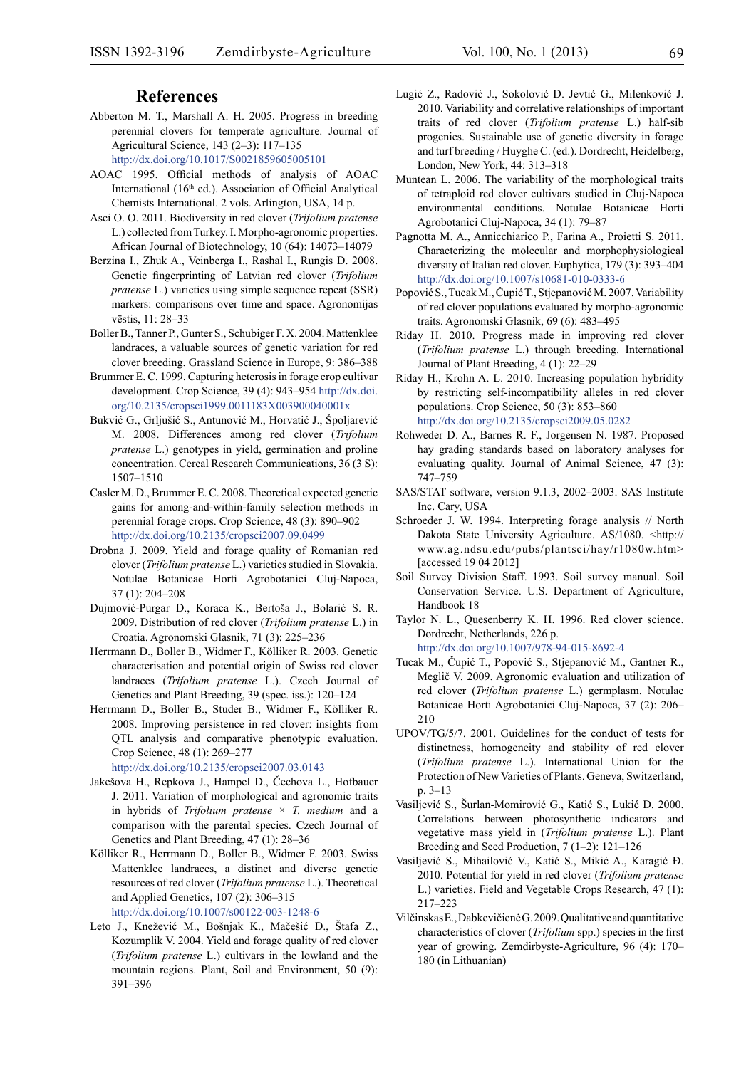## **References**

- Abberton M. T., Marshall A. H. 2005. Progress in breeding perennial clovers for temperate agriculture. Journal of Agricultural Science, 143 (2–3): 117–135 <http://dx.doi.org/10.1017/S0021859605005101>
- AOAC 1995. Official methods of analysis of AOAC International (16<sup>th</sup> ed.). Association of Official Analytical Chemists International. 2 vols. Arlington, USA, 14 p.
- Asci O. O. 2011. Biodiversity in red clover (*Trifolium pratense* L.) collected from Turkey. I. Morpho-agronomic properties. African Journal of Biotechnology, 10 (64): 14073–14079
- Berzina I., Zhuk A., Veinberga I., Rashal I., Rungis D. 2008. Genetic fingerprinting of Latvian red clover (*Trifolium pratense* L.) varieties using simple sequence repeat (SSR) markers: comparisons over time and space. Agronomijas vēstis, 11: 28–33
- Boller B., Tanner P., Gunter S., Schubiger F. X. 2004. Mattenklee landraces, a valuable sources of genetic variation for red clover breeding. Grassland Science in Europe, 9: 386–388
- Brummer E. C. 1999. Capturing heterosis in forage crop cultivar development. Crop Science, 39 (4): 943–954 [http://dx.doi.](http://dx.doi.org/10.2135/cropsci1999.0011183X003900040001x ) [org/10.2135/cropsci1999.0011183X003900040001x](http://dx.doi.org/10.2135/cropsci1999.0011183X003900040001x )
- Bukvić G., Grljušić S., Antunović M., Horvatić J., Špoljarević M. 2008. Differences among red clover (*Trifolium pratense* L.) genotypes in yield, germination and proline concentration. Cereal Research Communications, 36 (3 S): 1507–1510
- Casler M. D., Brummer E. C. 2008. Theoretical expected genetic gains for among-and-within-family selection methods in perennial forage crops. Crop Science, 48 (3): 890–902 <http://dx.doi.org/10.2135/cropsci2007.09.0499>
- Drobna J. 2009. Yield and forage quality of Romanian red clover (*Trifolium pratense* L.) varieties studied in Slovakia. Notulae Botanicae Horti Agrobotanici Cluj-Napoca, 37 (1): 204–208
- Dujmović-Purgar D., Koraca K., Bertoša J., Bolarić S. R. 2009. Distribution of red clover (*Trifolium pratense* L.) in Croatia. Agronomski Glasnik, 71 (3): 225–236
- Herrmann D., Boller B., Widmer F., Kölliker R. 2003. Genetic characterisation and potential origin of Swiss red clover landraces (*Trifolium pratense* L.). Czech Journal of Genetics and Plant Breeding, 39 (spec. iss.): 120–124
- Herrmann D., Boller B., Studer B., Widmer F., Kölliker R. 2008. Improving persistence in red clover: insights from QTL analysis and comparative phenotypic evaluation. Crop Science, 48 (1): 269–277

<http://dx.doi.org/10.2135/cropsci2007.03.0143>

- Jakešova H., Repkova J., Hampel D., Čechova L., Hofbauer J. 2011. Variation of morphological and agronomic traits in hybrids of *Trifolium pratense* × *T. medium* and a comparison with the parental species. Czech Journal of Genetics and Plant Breeding, 47 (1): 28–36
- Kölliker R., Herrmann D., Boller B., Widmer F. 2003. Swiss Mattenklee landraces, a distinct and diverse genetic resources of red clover (*Trifolium pratense* L.). Theoretical and Applied Genetics, 107 (2): 306–315 <http://dx.doi.org/10.1007/s00122-003-1248-6>
- Leto J., Knežević M., Bošnjak K., Mačešić D., Štafa Z., Kozumplik V. 2004. Yield and forage quality of red clover (*Trifolium pratense* L.) cultivars in the lowland and the mountain regions. Plant, Soil and Environment, 50 (9): 391–396
- Lugić Z., Radović J., Sokolović D. Jevtić G., Milenković J. 2010. Variability and correlative relationships of important traits of red clover (*Trifolium pratense* L.) half-sib progenies. Sustainable use of genetic diversity in forage and turf breeding / Huyghe C. (ed.). Dordrecht, Heidelberg, London, New York, 44: 313–318
- Muntean L. 2006. The variability of the morphological traits of tetraploid red clover cultivars studied in Cluj-Napoca environmental conditions. Notulae Botanicae Horti Agrobotanici Cluj-Napoca, 34 (1): 79–87
- Pagnotta M. A., Annicchiarico P., Farina A., Proietti S. 2011. Characterizing the molecular and morphophysiological diversity of Italian red clover. Euphytica, 179 (3): 393–404 <http://dx.doi.org/10.1007/s10681-010-0333-6>
- Popović S., Tucak M., Čupić T., Stjepanović M. 2007. Variability of red clover populations evaluated by morpho-agronomic traits. Agronomski Glasnik, 69 (6): 483–495
- Riday H. 2010. Progress made in improving red clover (*Trifolium pratense* L.) through breeding. International Journal of Plant Breeding, 4 (1): 22–29
- Riday H., Krohn A. L. 2010. Increasing population hybridity by restricting self-incompatibility alleles in red clover populations. Crop Science, 50 (3): 853–860 <http://dx.doi.org/10.2135/cropsci2009.05.0282>
- Rohweder D. A., Barnes R. F., Jorgensen N. 1987. Proposed hay grading standards based on laboratory analyses for evaluating quality. Journal of Animal Science, 47 (3): 747–759
- SAS/STAT software, version 9.1.3, 2002–2003. SAS Institute Inc. Cary, USA
- Schroeder J. W. 1994. Interpreting forage analysis // North Dakota State University Agriculture. AS/1080. <http:// www.ag.ndsu.edu/pubs/plantsci/hay/r1080w.htm> [accessed 19 04 2012]
- Soil Survey Division Staff. 1993. Soil survey manual. Soil Conservation Service. U.S. Department of Agriculture, Handbook 18
- Taylor N. L., Quesenberry K. H. 1996. Red clover science. Dordrecht, Netherlands, 226 p. <http://dx.doi.org/10.1007/978-94-015-8692-4>
- Tucak M., Čupić T., Popović S., Stjepanović M., Gantner R., Meglič V. 2009. Agronomic evaluation and utilization of red clover (*Trifolium pratense* L.) germplasm. Notulae Botanicae Horti Agrobotanici Cluj-Napoca, 37 (2): 206– 210
- UPOV/TG/5/7. 2001. Guidelines for the conduct of tests for distinctness, homogeneity and stability of red clover (*Trifolium pratense* L.). International Union for the Protection of New Varieties of Plants. Geneva, Switzerland, p. 3–13
- Vasiljević S., Šurlan-Momirović G., Katić S., Lukić D. 2000. Correlations between photosynthetic indicators and vegetative mass yield in (*Trifolium pratense* L.). Plant Breeding and Seed Production, 7 (1–2): 121–126
- Vasiljević S., Mihailović V., Katić S., Mikić A., Karagić Đ. 2010. Potential for yield in red clover (*Trifolium pratense* L.) varieties. Field and Vegetable Crops Research, 47 (1): 217–223
- Vilčinskas E., Dabkevičienė G. 2009. Qualitative and quantitative characteristics of clover (*Trifolium* spp.) species in the first year of growing. Zemdirbyste-Agriculture, 96 (4): 170– 180 (in Lithuanian)